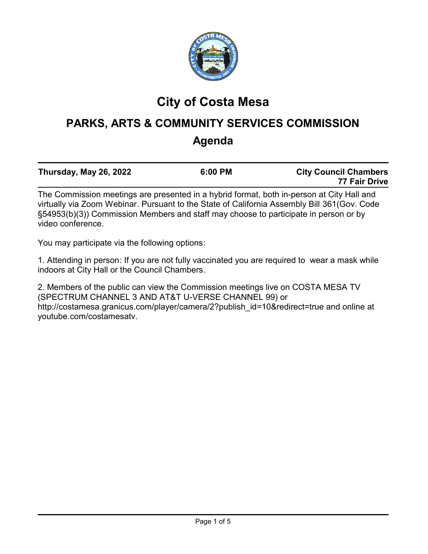

# **City of Costa Mesa**

# **PARKS, ARTS & COMMUNITY SERVICES COMMISSION Agenda**

| Thursday, May 26, 2022                                                                        | 6:00 PM | <b>City Council Chambers</b> |
|-----------------------------------------------------------------------------------------------|---------|------------------------------|
|                                                                                               |         | 77 Fair Drive                |
| The Occurriation meathers are presented in a bubid formed, both in parameter of Oity Uall and |         |                              |

The Commission meetings are presented in a hybrid format, both in-person at City Hall and virtually via Zoom Webinar. Pursuant to the State of California Assembly Bill 361(Gov. Code §54953(b)(3)) Commission Members and staff may choose to participate in person or by video conference.

You may participate via the following options:

1. Attending in person: If you are not fully vaccinated you are required to wear a mask while indoors at City Hall or the Council Chambers.

2. Members of the public can view the Commission meetings live on COSTA MESA TV (SPECTRUM CHANNEL 3 AND AT&T U-VERSE CHANNEL 99) or http://costamesa.granicus.com/player/camera/2?publish\_id=10&redirect=true and online at youtube.com/costamesatv.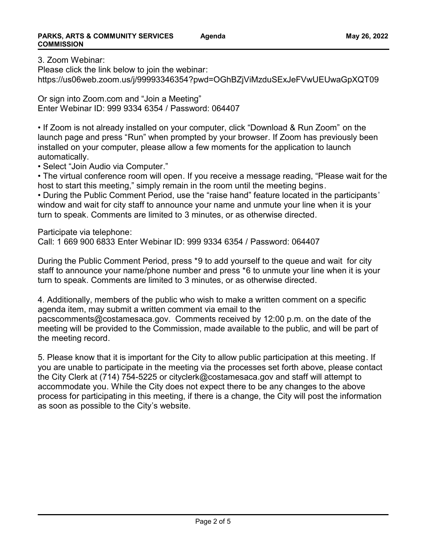3. Zoom Webinar:

Please click the link below to join the webinar: https://us06web.zoom.us/j/99993346354?pwd=OGhBZjViMzduSExJeFVwUEUwaGpXQT09

Or sign into Zoom.com and "Join a Meeting" Enter Webinar ID: 999 9334 6354 / Password: 064407

• If Zoom is not already installed on your computer, click "Download & Run Zoom" on the launch page and press "Run" when prompted by your browser. If Zoom has previously been installed on your computer, please allow a few moments for the application to launch automatically.

• Select "Join Audio via Computer."

• The virtual conference room will open. If you receive a message reading, "Please wait for the host to start this meeting," simply remain in the room until the meeting begins.

• During the Public Comment Period, use the "raise hand" feature located in the participants' window and wait for city staff to announce your name and unmute your line when it is your turn to speak. Comments are limited to 3 minutes, or as otherwise directed.

Participate via telephone:

Call: 1 669 900 6833 Enter Webinar ID: 999 9334 6354 / Password: 064407

During the Public Comment Period, press \*9 to add yourself to the queue and wait for city staff to announce your name/phone number and press \*6 to unmute your line when it is your turn to speak. Comments are limited to 3 minutes, or as otherwise directed.

4. Additionally, members of the public who wish to make a written comment on a specific agenda item, may submit a written comment via email to the

pacscomments@costamesaca.gov. Comments received by 12:00 p.m. on the date of the meeting will be provided to the Commission, made available to the public, and will be part of the meeting record.

5. Please know that it is important for the City to allow public participation at this meeting. If you are unable to participate in the meeting via the processes set forth above, please contact the City Clerk at (714) 754-5225 or cityclerk@costamesaca.gov and staff will attempt to accommodate you. While the City does not expect there to be any changes to the above process for participating in this meeting, if there is a change, the City will post the information as soon as possible to the City's website.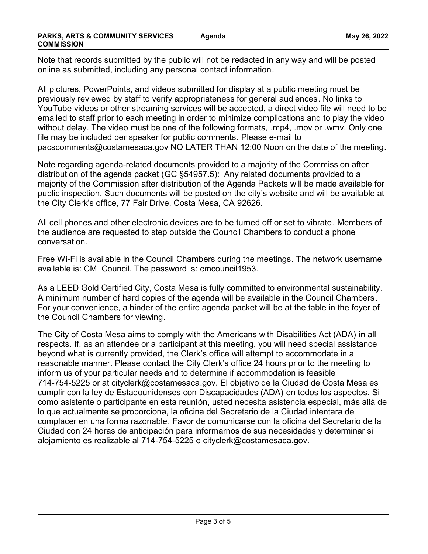Note that records submitted by the public will not be redacted in any way and will be posted online as submitted, including any personal contact information.

All pictures, PowerPoints, and videos submitted for display at a public meeting must be previously reviewed by staff to verify appropriateness for general audiences. No links to YouTube videos or other streaming services will be accepted, a direct video file will need to be emailed to staff prior to each meeting in order to minimize complications and to play the video without delay. The video must be one of the following formats, .mp4, .mov or .wmv. Only one file may be included per speaker for public comments. Please e-mail to pacscomments@costamesaca.gov NO LATER THAN 12:00 Noon on the date of the meeting.

Note regarding agenda-related documents provided to a majority of the Commission after distribution of the agenda packet (GC §54957.5): Any related documents provided to a majority of the Commission after distribution of the Agenda Packets will be made available for public inspection. Such documents will be posted on the city's website and will be available at the City Clerk's office, 77 Fair Drive, Costa Mesa, CA 92626.

All cell phones and other electronic devices are to be turned off or set to vibrate. Members of the audience are requested to step outside the Council Chambers to conduct a phone conversation.

Free Wi-Fi is available in the Council Chambers during the meetings. The network username available is: CM\_Council. The password is: cmcouncil1953.

As a LEED Gold Certified City, Costa Mesa is fully committed to environmental sustainability. A minimum number of hard copies of the agenda will be available in the Council Chambers. For your convenience, a binder of the entire agenda packet will be at the table in the foyer of the Council Chambers for viewing.

The City of Costa Mesa aims to comply with the Americans with Disabilities Act (ADA) in all respects. If, as an attendee or a participant at this meeting, you will need special assistance beyond what is currently provided, the Clerk's office will attempt to accommodate in a reasonable manner. Please contact the City Clerk's office 24 hours prior to the meeting to inform us of your particular needs and to determine if accommodation is feasible 714-754-5225 or at cityclerk@costamesaca.gov. El objetivo de la Ciudad de Costa Mesa es cumplir con la ley de Estadounidenses con Discapacidades (ADA) en todos los aspectos. Si como asistente o participante en esta reunión, usted necesita asistencia especial, más allá de lo que actualmente se proporciona, la oficina del Secretario de la Ciudad intentara de complacer en una forma razonable. Favor de comunicarse con la oficina del Secretario de la Ciudad con 24 horas de anticipación para informarnos de sus necesidades y determinar si alojamiento es realizable al 714-754-5225 o cityclerk@costamesaca.gov.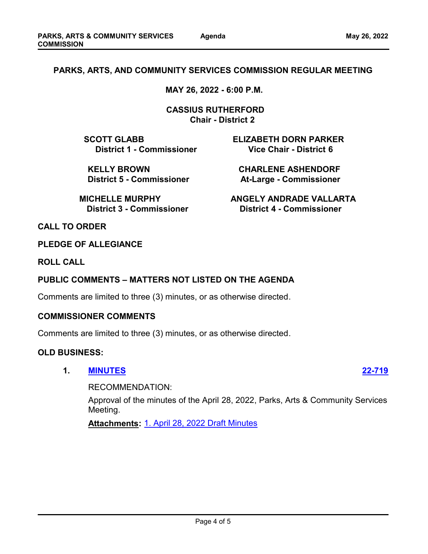# **PARKS, ARTS, AND COMMUNITY SERVICES COMMISSION REGULAR MEETING**

**MAY 26, 2022 - 6:00 P.M.**

 **CASSIUS RUTHERFORD Chair - District 2**

**SCOTT GLABB ELIZABETH DORN PARKER District 1 - Commissioner Vice Chair - District 6** 

 **KELLY BROWN CHARLENE ASHENDORF District 5 - Commissioner Mat-Large - Commissioner** 

**MICHELLE MURPHY ANGELY ANDRADE VALLARTA District 3 - Commissioner District 4 - Commissioner**

**CALL TO ORDER**

**PLEDGE OF ALLEGIANCE**

**ROLL CALL**

## **PUBLIC COMMENTS – MATTERS NOT LISTED ON THE AGENDA**

Comments are limited to three (3) minutes, or as otherwise directed.

### **COMMISSIONER COMMENTS**

Comments are limited to three (3) minutes, or as otherwise directed.

#### **OLD BUSINESS:**

**1. [MINUTES](http://costamesa.legistar.com/gateway.aspx?m=l&id=/matter.aspx?key=1823) [22-719](http://costamesa.legistar.com/gateway.aspx?m=l&id=/matter.aspx?key=1823)**

RECOMMENDATION:

Approval of the minutes of the April 28, 2022, Parks, Arts & Community Services Meeting.

**Attachments:** [1. April 28, 2022 Draft Minutes](http://costamesa.legistar.com/gateway.aspx?M=F&ID=7d19052e-0259-43eb-ac8c-2e28d26b622e.pdf)